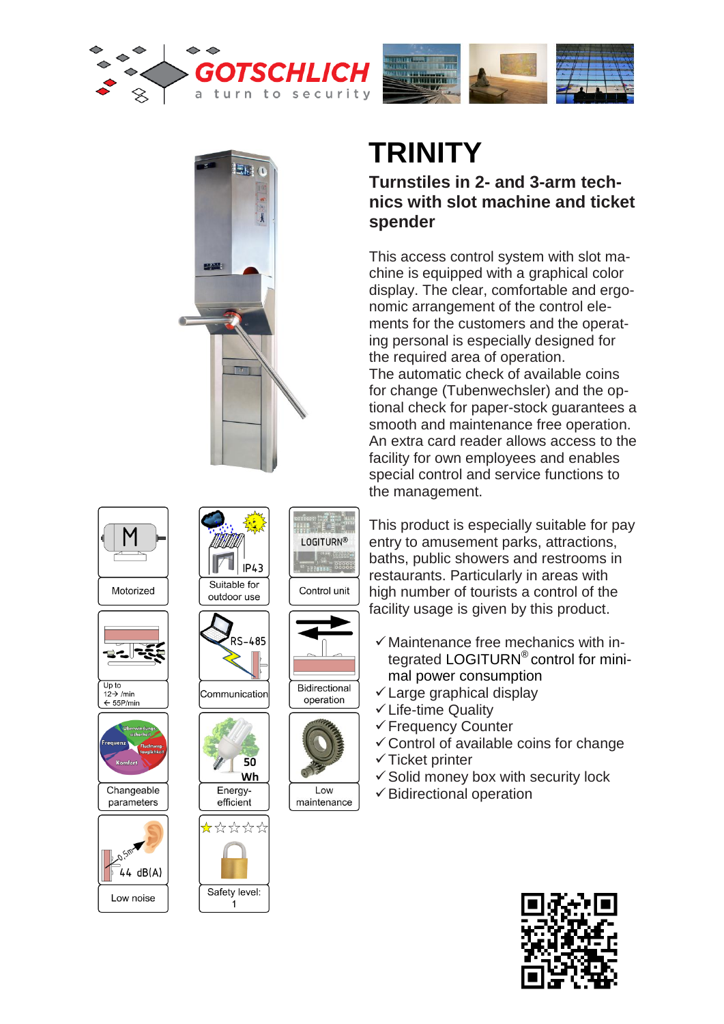







Motorized



 $Up to$  $12 \rightarrow$ /min  $\leftarrow$  55P/min







LOGITURN®

Control unit

**Bidirectional** 

operation

 $\overline{I}$  OW

maintenance

<sup>us</sup> 1223001

Communication





**TRINITY**

### **Turnstiles in 2- and 3-arm technics with slot machine and ticket spender**

This access control system with slot machine is equipped with a graphical color display. The clear, comfortable and ergonomic arrangement of the control elements for the customers and the operating personal is especially designed for the required area of operation. The automatic check of available coins for change (Tubenwechsler) and the optional check for paper-stock guarantees a smooth and maintenance free operation. An extra card reader allows access to the facility for own employees and enables special control and service functions to the management.

This product is especially suitable for pay entry to amusement parks, attractions, baths, public showers and restrooms in restaurants. Particularly in areas with high number of tourists a control of the facility usage is given by this product.

- $\checkmark$  Maintenance free mechanics with integrated LOGITURN® control for minimal power consumption
- $\checkmark$  Large graphical display
- $\checkmark$  Life-time Quality
- Frequency Counter
- $\checkmark$  Control of available coins for change
- $\checkmark$  Ticket printer
- $\checkmark$  Solid money box with security lock
- $\checkmark$  Bidirectional operation